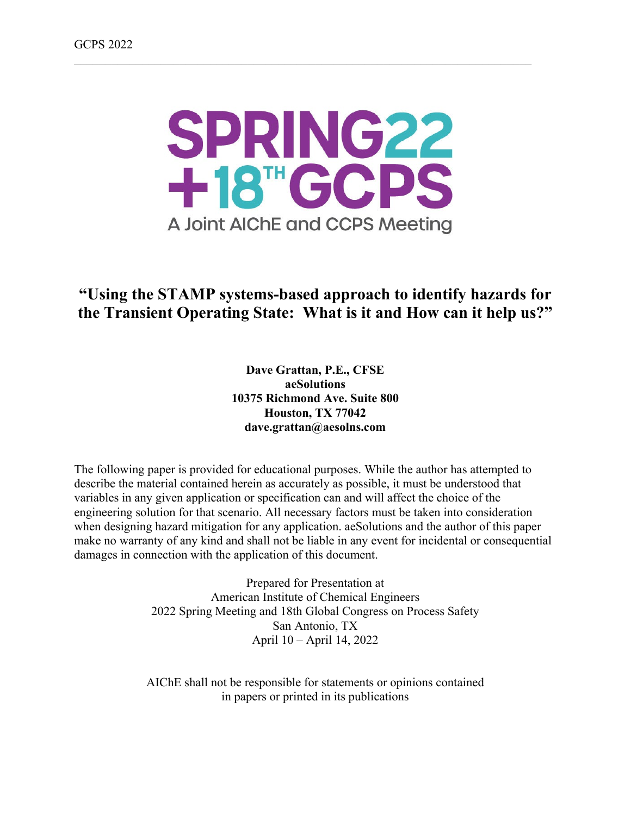

# **"Using the STAMP systems-based approach to identify hazards for the Transient Operating State: What is it and How can it help us?"**

**Dave Grattan, P.E., CFSE aeSolutions 10375 Richmond Ave. Suite 800 Houston, TX 77042 dave.grattan@aesolns.com**

The following paper is provided for educational purposes. While the author has attempted to describe the material contained herein as accurately as possible, it must be understood that variables in any given application or specification can and will affect the choice of the engineering solution for that scenario. All necessary factors must be taken into consideration when designing hazard mitigation for any application. aeSolutions and the author of this paper make no warranty of any kind and shall not be liable in any event for incidental or consequential damages in connection with the application of this document.

> Prepared for Presentation at American Institute of Chemical Engineers 2022 Spring Meeting and 18th Global Congress on Process Safety San Antonio, TX April 10 – April 14, 2022

AIChE shall not be responsible for statements or opinions contained in papers or printed in its publications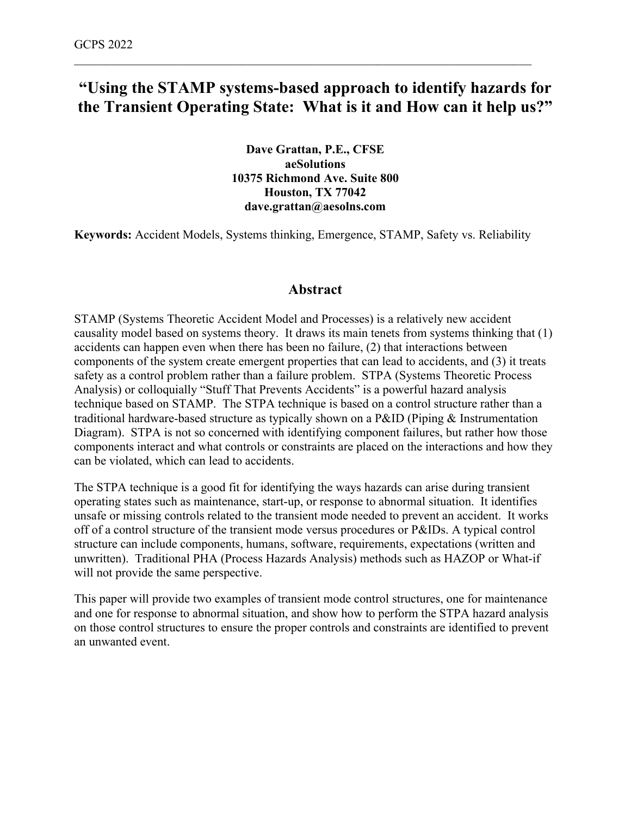# **"Using the STAMP systems-based approach to identify hazards for the Transient Operating State: What is it and How can it help us?"**

\_\_\_\_\_\_\_\_\_\_\_\_\_\_\_\_\_\_\_\_\_\_\_\_\_\_\_\_\_\_\_\_\_\_\_\_\_\_\_\_\_\_\_\_\_\_\_\_\_\_\_\_\_\_\_\_\_\_\_\_\_\_\_\_\_\_\_\_\_\_\_\_\_\_

**Dave Grattan, P.E., CFSE aeSolutions 10375 Richmond Ave. Suite 800 Houston, TX 77042 dave.grattan@aesolns.com**

**Keywords:** Accident Models, Systems thinking, Emergence, STAMP, Safety vs. Reliability

## **Abstract**

STAMP (Systems Theoretic Accident Model and Processes) is a relatively new accident causality model based on systems theory. It draws its main tenets from systems thinking that (1) accidents can happen even when there has been no failure, (2) that interactions between components of the system create emergent properties that can lead to accidents, and (3) it treats safety as a control problem rather than a failure problem. STPA (Systems Theoretic Process Analysis) or colloquially "Stuff That Prevents Accidents" is a powerful hazard analysis technique based on STAMP. The STPA technique is based on a control structure rather than a traditional hardware-based structure as typically shown on a P&ID (Piping & Instrumentation Diagram). STPA is not so concerned with identifying component failures, but rather how those components interact and what controls or constraints are placed on the interactions and how they can be violated, which can lead to accidents.

The STPA technique is a good fit for identifying the ways hazards can arise during transient operating states such as maintenance, start-up, or response to abnormal situation. It identifies unsafe or missing controls related to the transient mode needed to prevent an accident. It works off of a control structure of the transient mode versus procedures or P&IDs. A typical control structure can include components, humans, software, requirements, expectations (written and unwritten). Traditional PHA (Process Hazards Analysis) methods such as HAZOP or What-if will not provide the same perspective.

This paper will provide two examples of transient mode control structures, one for maintenance and one for response to abnormal situation, and show how to perform the STPA hazard analysis on those control structures to ensure the proper controls and constraints are identified to prevent an unwanted event.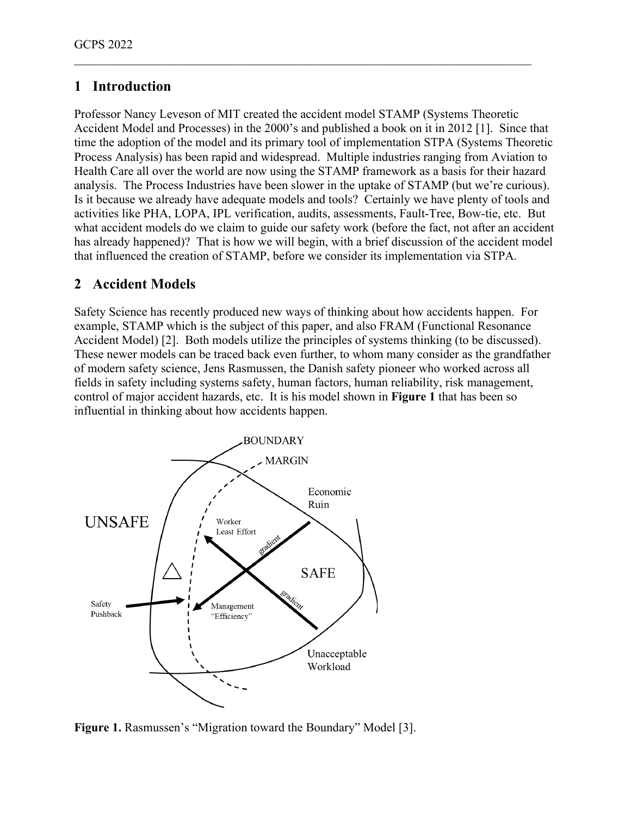# **1 Introduction**

Professor Nancy Leveson of MIT created the accident model STAMP (Systems Theoretic Accident Model and Processes) in the 2000's and published a book on it in 2012 [1]. Since that time the adoption of the model and its primary tool of implementation STPA (Systems Theoretic Process Analysis) has been rapid and widespread. Multiple industries ranging from Aviation to Health Care all over the world are now using the STAMP framework as a basis for their hazard analysis. The Process Industries have been slower in the uptake of STAMP (but we're curious). Is it because we already have adequate models and tools? Certainly we have plenty of tools and activities like PHA, LOPA, IPL verification, audits, assessments, Fault-Tree, Bow-tie, etc. But what accident models do we claim to guide our safety work (before the fact, not after an accident has already happened)? That is how we will begin, with a brief discussion of the accident model that influenced the creation of STAMP, before we consider its implementation via STPA.

\_\_\_\_\_\_\_\_\_\_\_\_\_\_\_\_\_\_\_\_\_\_\_\_\_\_\_\_\_\_\_\_\_\_\_\_\_\_\_\_\_\_\_\_\_\_\_\_\_\_\_\_\_\_\_\_\_\_\_\_\_\_\_\_\_\_\_\_\_\_\_\_\_\_

## **2 Accident Models**

Safety Science has recently produced new ways of thinking about how accidents happen. For example, STAMP which is the subject of this paper, and also FRAM (Functional Resonance Accident Model) [2]. Both models utilize the principles of systems thinking (to be discussed). These newer models can be traced back even further, to whom many consider as the grandfather of modern safety science, Jens Rasmussen, the Danish safety pioneer who worked across all fields in safety including systems safety, human factors, human reliability, risk management, control of major accident hazards, etc. It is his model shown in **Figure 1** that has been so influential in thinking about how accidents happen.



**Figure 1.** Rasmussen's "Migration toward the Boundary" Model [3].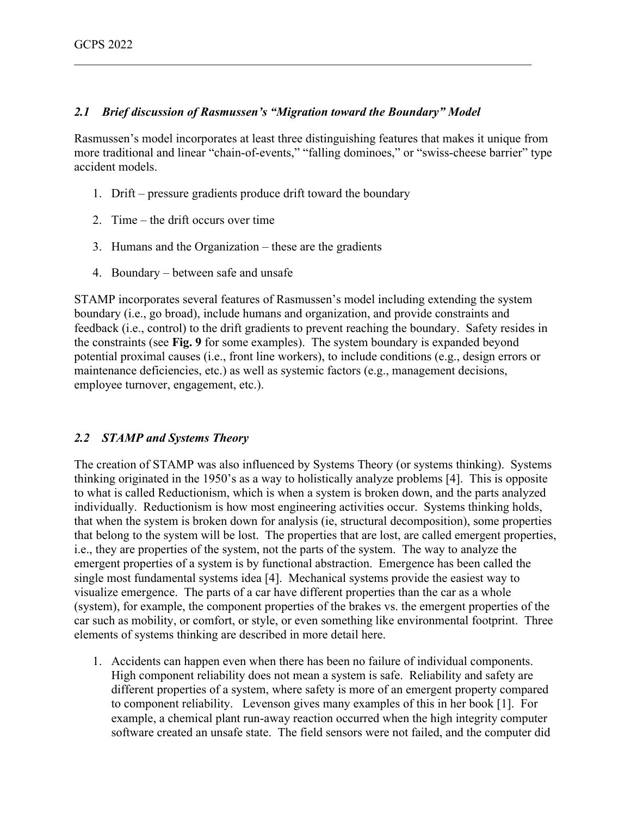#### *2.1 Brief discussion of Rasmussen's "Migration toward the Boundary" Model*

Rasmussen's model incorporates at least three distinguishing features that makes it unique from more traditional and linear "chain-of-events," "falling dominoes," or "swiss-cheese barrier" type accident models.

\_\_\_\_\_\_\_\_\_\_\_\_\_\_\_\_\_\_\_\_\_\_\_\_\_\_\_\_\_\_\_\_\_\_\_\_\_\_\_\_\_\_\_\_\_\_\_\_\_\_\_\_\_\_\_\_\_\_\_\_\_\_\_\_\_\_\_\_\_\_\_\_\_\_

- 1. Drift pressure gradients produce drift toward the boundary
- 2. Time the drift occurs over time
- 3. Humans and the Organization these are the gradients
- 4. Boundary between safe and unsafe

STAMP incorporates several features of Rasmussen's model including extending the system boundary (i.e., go broad), include humans and organization, and provide constraints and feedback (i.e., control) to the drift gradients to prevent reaching the boundary. Safety resides in the constraints (see **Fig. 9** for some examples). The system boundary is expanded beyond potential proximal causes (i.e., front line workers), to include conditions (e.g., design errors or maintenance deficiencies, etc.) as well as systemic factors (e.g., management decisions, employee turnover, engagement, etc.).

#### *2.2 STAMP and Systems Theory*

The creation of STAMP was also influenced by Systems Theory (or systems thinking). Systems thinking originated in the 1950's as a way to holistically analyze problems [4]. This is opposite to what is called Reductionism, which is when a system is broken down, and the parts analyzed individually. Reductionism is how most engineering activities occur. Systems thinking holds, that when the system is broken down for analysis (ie, structural decomposition), some properties that belong to the system will be lost. The properties that are lost, are called emergent properties, i.e., they are properties of the system, not the parts of the system. The way to analyze the emergent properties of a system is by functional abstraction. Emergence has been called the single most fundamental systems idea [4]. Mechanical systems provide the easiest way to visualize emergence. The parts of a car have different properties than the car as a whole (system), for example, the component properties of the brakes vs. the emergent properties of the car such as mobility, or comfort, or style, or even something like environmental footprint. Three elements of systems thinking are described in more detail here.

1. Accidents can happen even when there has been no failure of individual components. High component reliability does not mean a system is safe. Reliability and safety are different properties of a system, where safety is more of an emergent property compared to component reliability. Levenson gives many examples of this in her book [1]. For example, a chemical plant run-away reaction occurred when the high integrity computer software created an unsafe state. The field sensors were not failed, and the computer did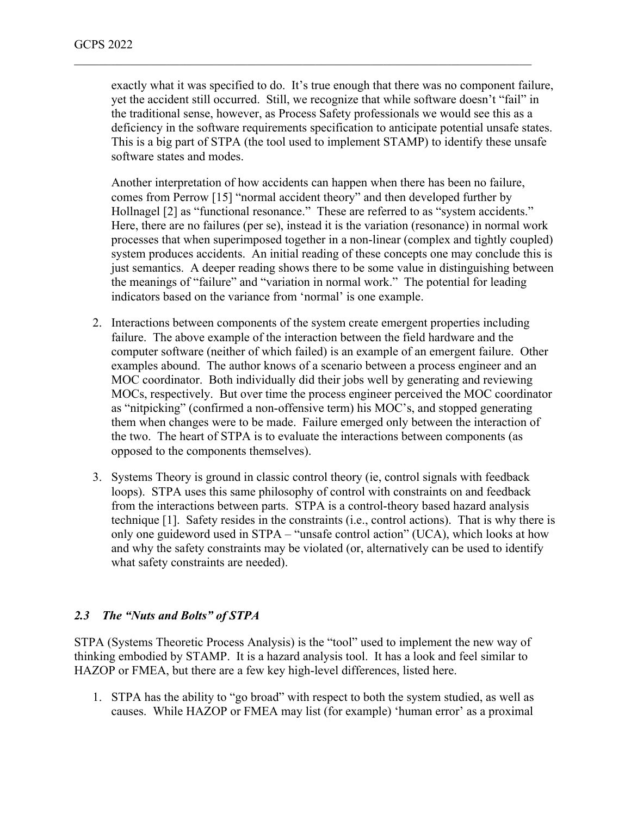exactly what it was specified to do. It's true enough that there was no component failure, yet the accident still occurred. Still, we recognize that while software doesn't "fail" in the traditional sense, however, as Process Safety professionals we would see this as a deficiency in the software requirements specification to anticipate potential unsafe states. This is a big part of STPA (the tool used to implement STAMP) to identify these unsafe software states and modes.

\_\_\_\_\_\_\_\_\_\_\_\_\_\_\_\_\_\_\_\_\_\_\_\_\_\_\_\_\_\_\_\_\_\_\_\_\_\_\_\_\_\_\_\_\_\_\_\_\_\_\_\_\_\_\_\_\_\_\_\_\_\_\_\_\_\_\_\_\_\_\_\_\_\_

Another interpretation of how accidents can happen when there has been no failure, comes from Perrow [15] "normal accident theory" and then developed further by Hollnagel [2] as "functional resonance." These are referred to as "system accidents." Here, there are no failures (per se), instead it is the variation (resonance) in normal work processes that when superimposed together in a non-linear (complex and tightly coupled) system produces accidents. An initial reading of these concepts one may conclude this is just semantics. A deeper reading shows there to be some value in distinguishing between the meanings of "failure" and "variation in normal work." The potential for leading indicators based on the variance from 'normal' is one example.

- 2. Interactions between components of the system create emergent properties including failure. The above example of the interaction between the field hardware and the computer software (neither of which failed) is an example of an emergent failure. Other examples abound. The author knows of a scenario between a process engineer and an MOC coordinator. Both individually did their jobs well by generating and reviewing MOCs, respectively. But over time the process engineer perceived the MOC coordinator as "nitpicking" (confirmed a non-offensive term) his MOC's, and stopped generating them when changes were to be made. Failure emerged only between the interaction of the two. The heart of STPA is to evaluate the interactions between components (as opposed to the components themselves).
- 3. Systems Theory is ground in classic control theory (ie, control signals with feedback loops). STPA uses this same philosophy of control with constraints on and feedback from the interactions between parts. STPA is a control-theory based hazard analysis technique [1]. Safety resides in the constraints (i.e., control actions). That is why there is only one guideword used in STPA – "unsafe control action" (UCA), which looks at how and why the safety constraints may be violated (or, alternatively can be used to identify what safety constraints are needed).

#### *2.3 The "Nuts and Bolts" of STPA*

STPA (Systems Theoretic Process Analysis) is the "tool" used to implement the new way of thinking embodied by STAMP. It is a hazard analysis tool. It has a look and feel similar to HAZOP or FMEA, but there are a few key high-level differences, listed here.

1. STPA has the ability to "go broad" with respect to both the system studied, as well as causes. While HAZOP or FMEA may list (for example) 'human error' as a proximal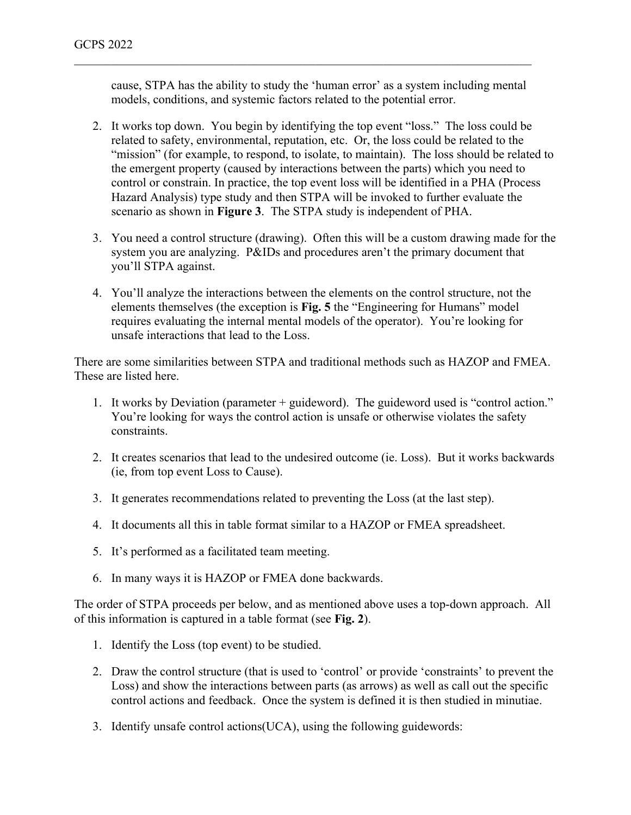cause, STPA has the ability to study the 'human error' as a system including mental models, conditions, and systemic factors related to the potential error.

\_\_\_\_\_\_\_\_\_\_\_\_\_\_\_\_\_\_\_\_\_\_\_\_\_\_\_\_\_\_\_\_\_\_\_\_\_\_\_\_\_\_\_\_\_\_\_\_\_\_\_\_\_\_\_\_\_\_\_\_\_\_\_\_\_\_\_\_\_\_\_\_\_\_

- 2. It works top down. You begin by identifying the top event "loss." The loss could be related to safety, environmental, reputation, etc. Or, the loss could be related to the "mission" (for example, to respond, to isolate, to maintain). The loss should be related to the emergent property (caused by interactions between the parts) which you need to control or constrain. In practice, the top event loss will be identified in a PHA (Process Hazard Analysis) type study and then STPA will be invoked to further evaluate the scenario as shown in **Figure 3**. The STPA study is independent of PHA.
- 3. You need a control structure (drawing). Often this will be a custom drawing made for the system you are analyzing. P&IDs and procedures aren't the primary document that you'll STPA against.
- 4. You'll analyze the interactions between the elements on the control structure, not the elements themselves (the exception is **Fig. 5** the "Engineering for Humans" model requires evaluating the internal mental models of the operator). You're looking for unsafe interactions that lead to the Loss.

There are some similarities between STPA and traditional methods such as HAZOP and FMEA. These are listed here.

- 1. It works by Deviation (parameter + guideword). The guideword used is "control action." You're looking for ways the control action is unsafe or otherwise violates the safety constraints.
- 2. It creates scenarios that lead to the undesired outcome (ie. Loss). But it works backwards (ie, from top event Loss to Cause).
- 3. It generates recommendations related to preventing the Loss (at the last step).
- 4. It documents all this in table format similar to a HAZOP or FMEA spreadsheet.
- 5. It's performed as a facilitated team meeting.
- 6. In many ways it is HAZOP or FMEA done backwards.

The order of STPA proceeds per below, and as mentioned above uses a top-down approach. All of this information is captured in a table format (see **Fig. 2**).

- 1. Identify the Loss (top event) to be studied.
- 2. Draw the control structure (that is used to 'control' or provide 'constraints' to prevent the Loss) and show the interactions between parts (as arrows) as well as call out the specific control actions and feedback. Once the system is defined it is then studied in minutiae.
- 3. Identify unsafe control actions(UCA), using the following guidewords: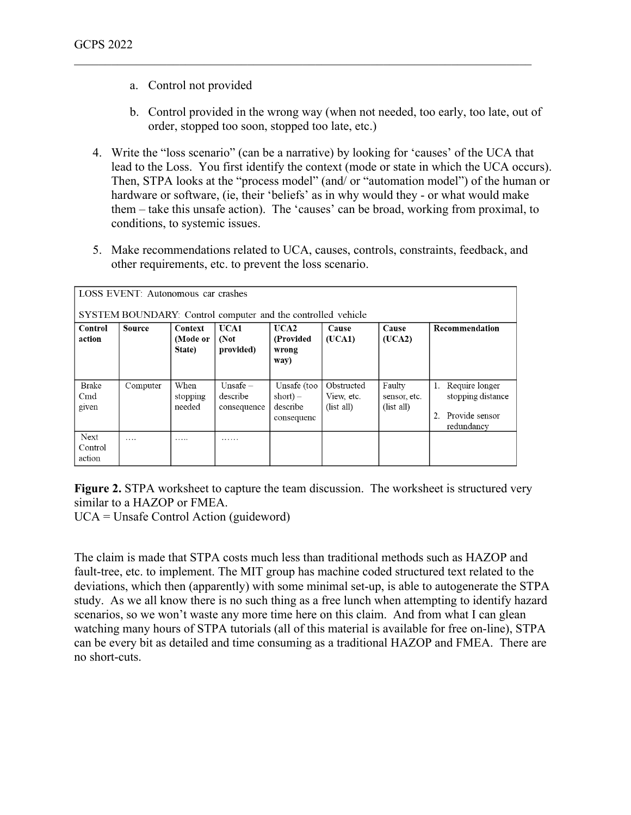- a. Control not provided
- b. Control provided in the wrong way (when not needed, too early, too late, out of order, stopped too soon, stopped too late, etc.)
- 4. Write the "loss scenario" (can be a narrative) by looking for 'causes' of the UCA that lead to the Loss. You first identify the context (mode or state in which the UCA occurs). Then, STPA looks at the "process model" (and/ or "automation model") of the human or hardware or software, (ie, their 'beliefs' as in why would they - or what would make them – take this unsafe action). The 'causes' can be broad, working from proximal, to conditions, to systemic issues.

5. Make recommendations related to UCA, causes, controls, constraints, feedback, and other requirements, etc. to prevent the loss scenario.

| LOSS EVENT: Autonomous car crashes<br>SYSTEM BOUNDARY: Control computer and the controlled vehicle |               |                               |                                       |                                                     |                                        |                                      |                                                                           |  |  |
|----------------------------------------------------------------------------------------------------|---------------|-------------------------------|---------------------------------------|-----------------------------------------------------|----------------------------------------|--------------------------------------|---------------------------------------------------------------------------|--|--|
| Control<br>action                                                                                  | <b>Source</b> | Context<br>(Mode or<br>State) | UCA1<br>(Not<br>provided)             | UCA2<br>(Provided<br>wrong<br>way)                  | Cause<br>(UCA1)                        | Cause<br>(UCA2)                      | Recommendation                                                            |  |  |
| <b>Brake</b><br>C <sub>md</sub><br>given                                                           | Computer      | When<br>stopping<br>needed    | Unsafe $-$<br>describe<br>consequence | Unsafe (too<br>$short) -$<br>describe<br>consequenc | Obstructed<br>View, etc.<br>(list all) | Faulty<br>sensor, etc.<br>(list all) | Require longer<br>1.<br>stopping distance<br>Provide sensor<br>redundancy |  |  |
| <b>Next</b><br>Control<br>action                                                                   | .             | .                             | .                                     |                                                     |                                        |                                      |                                                                           |  |  |

**Figure 2.** STPA worksheet to capture the team discussion. The worksheet is structured very similar to a HAZOP or FMEA.

UCA = Unsafe Control Action (guideword)

The claim is made that STPA costs much less than traditional methods such as HAZOP and fault-tree, etc. to implement. The MIT group has machine coded structured text related to the deviations, which then (apparently) with some minimal set-up, is able to autogenerate the STPA study. As we all know there is no such thing as a free lunch when attempting to identify hazard scenarios, so we won't waste any more time here on this claim. And from what I can glean watching many hours of STPA tutorials (all of this material is available for free on-line), STPA can be every bit as detailed and time consuming as a traditional HAZOP and FMEA. There are no short-cuts.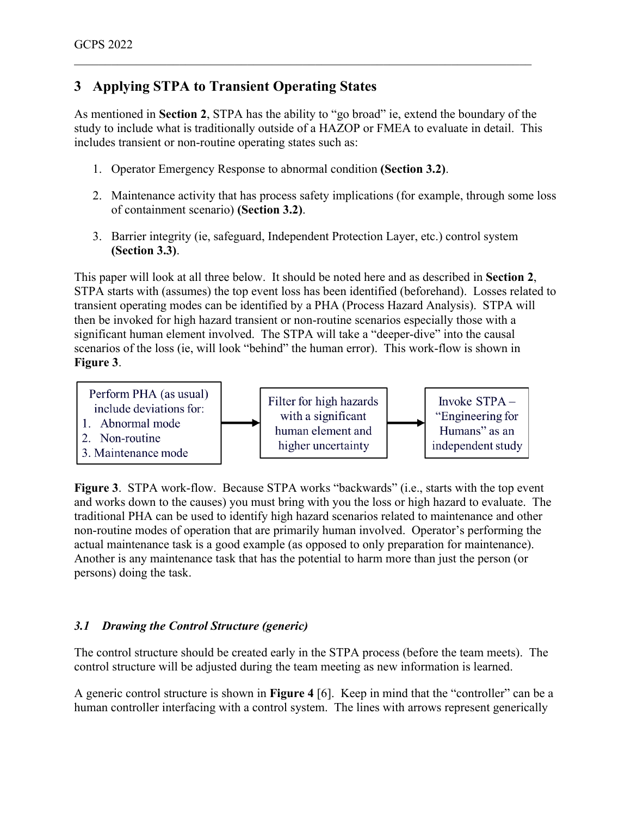# **3 Applying STPA to Transient Operating States**

As mentioned in **Section 2**, STPA has the ability to "go broad" ie, extend the boundary of the study to include what is traditionally outside of a HAZOP or FMEA to evaluate in detail. This includes transient or non-routine operating states such as:

\_\_\_\_\_\_\_\_\_\_\_\_\_\_\_\_\_\_\_\_\_\_\_\_\_\_\_\_\_\_\_\_\_\_\_\_\_\_\_\_\_\_\_\_\_\_\_\_\_\_\_\_\_\_\_\_\_\_\_\_\_\_\_\_\_\_\_\_\_\_\_\_\_\_

- 1. Operator Emergency Response to abnormal condition **(Section 3.2)**.
- 2. Maintenance activity that has process safety implications (for example, through some loss of containment scenario) **(Section 3.2)**.
- 3. Barrier integrity (ie, safeguard, Independent Protection Layer, etc.) control system **(Section 3.3)**.

This paper will look at all three below. It should be noted here and as described in **Section 2**, STPA starts with (assumes) the top event loss has been identified (beforehand). Losses related to transient operating modes can be identified by a PHA (Process Hazard Analysis). STPA will then be invoked for high hazard transient or non-routine scenarios especially those with a significant human element involved. The STPA will take a "deeper-dive" into the causal scenarios of the loss (ie, will look "behind" the human error). This work-flow is shown in **Figure 3**.



**Figure 3**. STPA work-flow. Because STPA works "backwards" (i.e., starts with the top event and works down to the causes) you must bring with you the loss or high hazard to evaluate. The traditional PHA can be used to identify high hazard scenarios related to maintenance and other non-routine modes of operation that are primarily human involved. Operator's performing the actual maintenance task is a good example (as opposed to only preparation for maintenance). Another is any maintenance task that has the potential to harm more than just the person (or persons) doing the task.

## *3.1 Drawing the Control Structure (generic)*

The control structure should be created early in the STPA process (before the team meets). The control structure will be adjusted during the team meeting as new information is learned.

A generic control structure is shown in **Figure 4** [6]. Keep in mind that the "controller" can be a human controller interfacing with a control system. The lines with arrows represent generically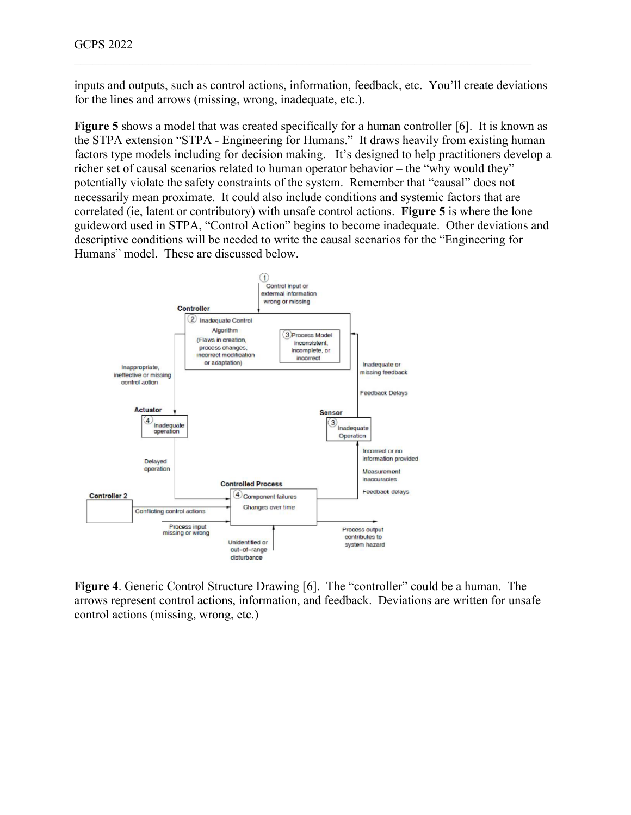inputs and outputs, such as control actions, information, feedback, etc. You'll create deviations for the lines and arrows (missing, wrong, inadequate, etc.).

\_\_\_\_\_\_\_\_\_\_\_\_\_\_\_\_\_\_\_\_\_\_\_\_\_\_\_\_\_\_\_\_\_\_\_\_\_\_\_\_\_\_\_\_\_\_\_\_\_\_\_\_\_\_\_\_\_\_\_\_\_\_\_\_\_\_\_\_\_\_\_\_\_\_

Figure 5 shows a model that was created specifically for a human controller [6]. It is known as the STPA extension "STPA - Engineering for Humans." It draws heavily from existing human factors type models including for decision making. It's designed to help practitioners develop a richer set of causal scenarios related to human operator behavior – the "why would they" potentially violate the safety constraints of the system. Remember that "causal" does not necessarily mean proximate. It could also include conditions and systemic factors that are correlated (ie, latent or contributory) with unsafe control actions. **Figure 5** is where the lone guideword used in STPA, "Control Action" begins to become inadequate. Other deviations and descriptive conditions will be needed to write the causal scenarios for the "Engineering for Humans" model. These are discussed below.



**Figure 4**. Generic Control Structure Drawing [6]. The "controller" could be a human. The arrows represent control actions, information, and feedback. Deviations are written for unsafe control actions (missing, wrong, etc.)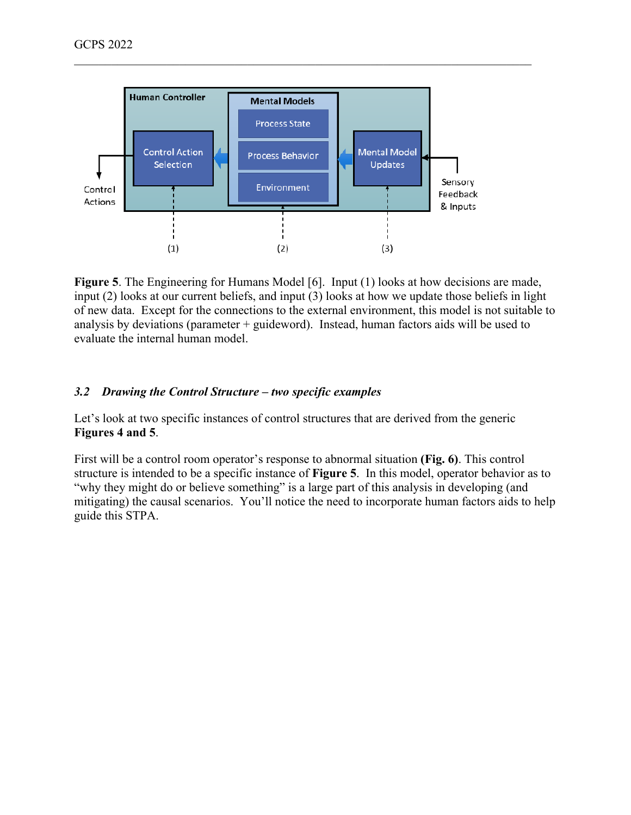

Figure 5. The Engineering for Humans Model [6]. Input (1) looks at how decisions are made, input (2) looks at our current beliefs, and input (3) looks at how we update those beliefs in light of new data. Except for the connections to the external environment, this model is not suitable to analysis by deviations (parameter  $+$  guideword). Instead, human factors aids will be used to evaluate the internal human model.

#### *3.2 Drawing the Control Structure – two specific examples*

Let's look at two specific instances of control structures that are derived from the generic **Figures 4 and 5**.

First will be a control room operator's response to abnormal situation **(Fig. 6)**. This control structure is intended to be a specific instance of **Figure 5**. In this model, operator behavior as to "why they might do or believe something" is a large part of this analysis in developing (and mitigating) the causal scenarios. You'll notice the need to incorporate human factors aids to help guide this STPA.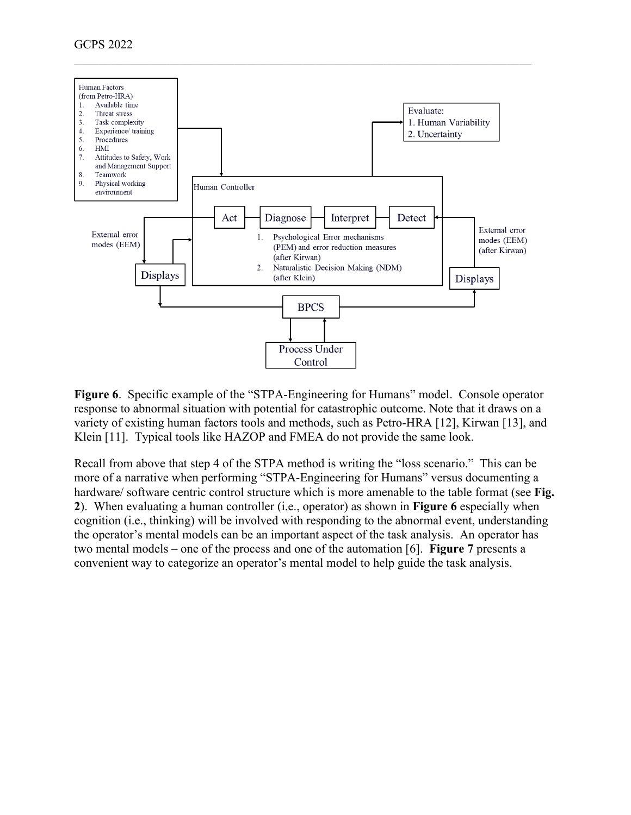

**Figure 6**. Specific example of the "STPA-Engineering for Humans" model. Console operator response to abnormal situation with potential for catastrophic outcome. Note that it draws on a variety of existing human factors tools and methods, such as Petro-HRA [12], Kirwan [13], and Klein [11]. Typical tools like HAZOP and FMEA do not provide the same look.

Recall from above that step 4 of the STPA method is writing the "loss scenario." This can be more of a narrative when performing "STPA-Engineering for Humans" versus documenting a hardware/ software centric control structure which is more amenable to the table format (see **Fig. 2**). When evaluating a human controller (i.e., operator) as shown in **Figure 6** especially when cognition (i.e., thinking) will be involved with responding to the abnormal event, understanding the operator's mental models can be an important aspect of the task analysis. An operator has two mental models – one of the process and one of the automation [6]. **Figure 7** presents a convenient way to categorize an operator's mental model to help guide the task analysis.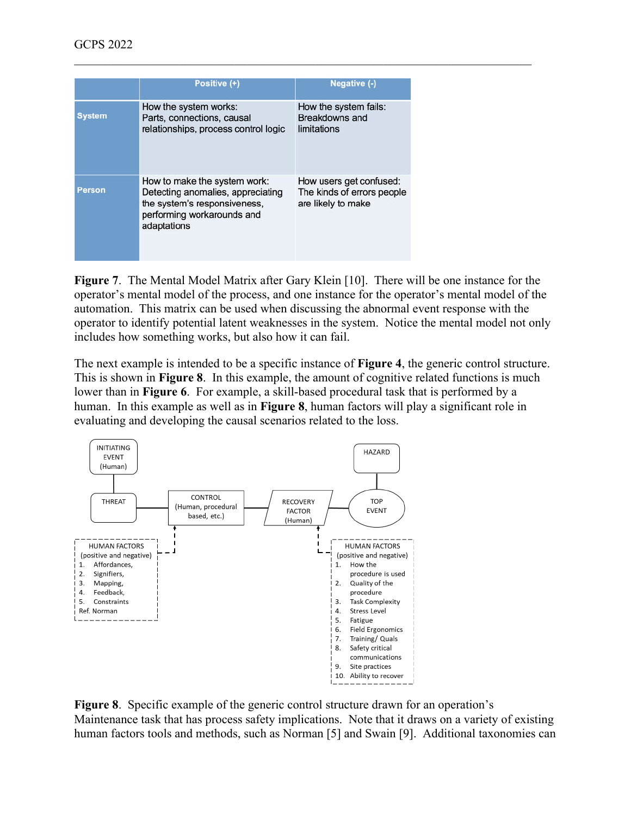|               | Positive (+)                                                                                                                                   | Negative (-)                                                                |
|---------------|------------------------------------------------------------------------------------------------------------------------------------------------|-----------------------------------------------------------------------------|
| <b>System</b> | How the system works:<br>Parts, connections, causal<br>relationships, process control logic                                                    | How the system fails:<br>Breakdowns and<br>limitations                      |
| Person        | How to make the system work:<br>Detecting anomalies, appreciating<br>the system's responsiveness,<br>performing workarounds and<br>adaptations | How users get confused:<br>The kinds of errors people<br>are likely to make |

**Figure 7**. The Mental Model Matrix after Gary Klein [10]. There will be one instance for the operator's mental model of the process, and one instance for the operator's mental model of the automation. This matrix can be used when discussing the abnormal event response with the operator to identify potential latent weaknesses in the system. Notice the mental model not only includes how something works, but also how it can fail.

\_\_\_\_\_\_\_\_\_\_\_\_\_\_\_\_\_\_\_\_\_\_\_\_\_\_\_\_\_\_\_\_\_\_\_\_\_\_\_\_\_\_\_\_\_\_\_\_\_\_\_\_\_\_\_\_\_\_\_\_\_\_\_\_\_\_\_\_\_\_\_\_\_\_

The next example is intended to be a specific instance of **Figure 4**, the generic control structure. This is shown in **Figure 8**. In this example, the amount of cognitive related functions is much lower than in **Figure 6**. For example, a skill-based procedural task that is performed by a human. In this example as well as in **Figure 8**, human factors will play a significant role in evaluating and developing the causal scenarios related to the loss.



**Figure 8**. Specific example of the generic control structure drawn for an operation's Maintenance task that has process safety implications. Note that it draws on a variety of existing human factors tools and methods, such as Norman [5] and Swain [9]. Additional taxonomies can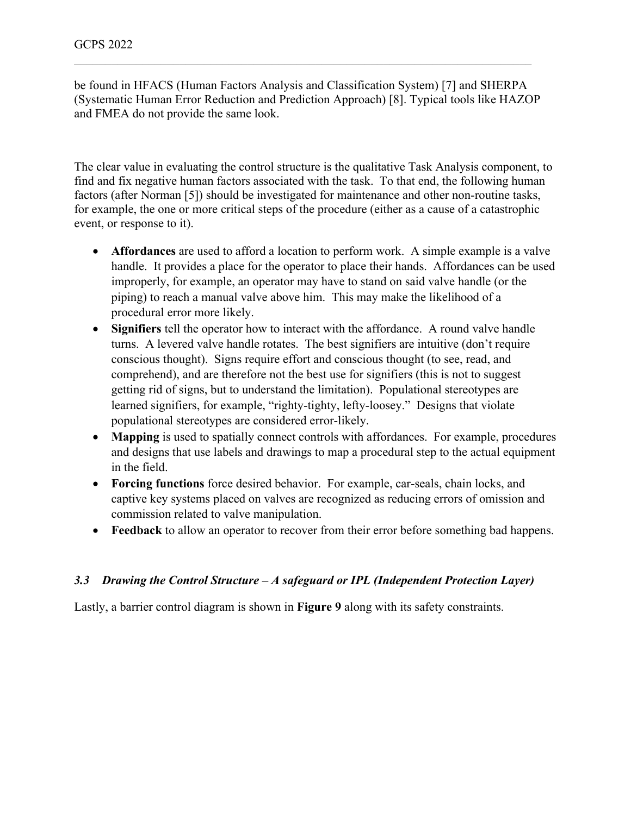be found in HFACS (Human Factors Analysis and Classification System) [7] and SHERPA (Systematic Human Error Reduction and Prediction Approach) [8]. Typical tools like HAZOP and FMEA do not provide the same look.

\_\_\_\_\_\_\_\_\_\_\_\_\_\_\_\_\_\_\_\_\_\_\_\_\_\_\_\_\_\_\_\_\_\_\_\_\_\_\_\_\_\_\_\_\_\_\_\_\_\_\_\_\_\_\_\_\_\_\_\_\_\_\_\_\_\_\_\_\_\_\_\_\_\_

The clear value in evaluating the control structure is the qualitative Task Analysis component, to find and fix negative human factors associated with the task. To that end, the following human factors (after Norman [5]) should be investigated for maintenance and other non-routine tasks, for example, the one or more critical steps of the procedure (either as a cause of a catastrophic event, or response to it).

- **Affordances** are used to afford a location to perform work. A simple example is a valve handle. It provides a place for the operator to place their hands. Affordances can be used improperly, for example, an operator may have to stand on said valve handle (or the piping) to reach a manual valve above him. This may make the likelihood of a procedural error more likely.
- **Signifiers** tell the operator how to interact with the affordance. A round valve handle turns. A levered valve handle rotates. The best signifiers are intuitive (don't require conscious thought). Signs require effort and conscious thought (to see, read, and comprehend), and are therefore not the best use for signifiers (this is not to suggest getting rid of signs, but to understand the limitation). Populational stereotypes are learned signifiers, for example, "righty-tighty, lefty-loosey." Designs that violate populational stereotypes are considered error-likely.
- **Mapping** is used to spatially connect controls with affordances. For example, procedures and designs that use labels and drawings to map a procedural step to the actual equipment in the field.
- **Forcing functions** force desired behavior. For example, car-seals, chain locks, and captive key systems placed on valves are recognized as reducing errors of omission and commission related to valve manipulation.
- **Feedback** to allow an operator to recover from their error before something bad happens.

## *3.3 Drawing the Control Structure – A safeguard or IPL (Independent Protection Layer)*

Lastly, a barrier control diagram is shown in **Figure 9** along with its safety constraints.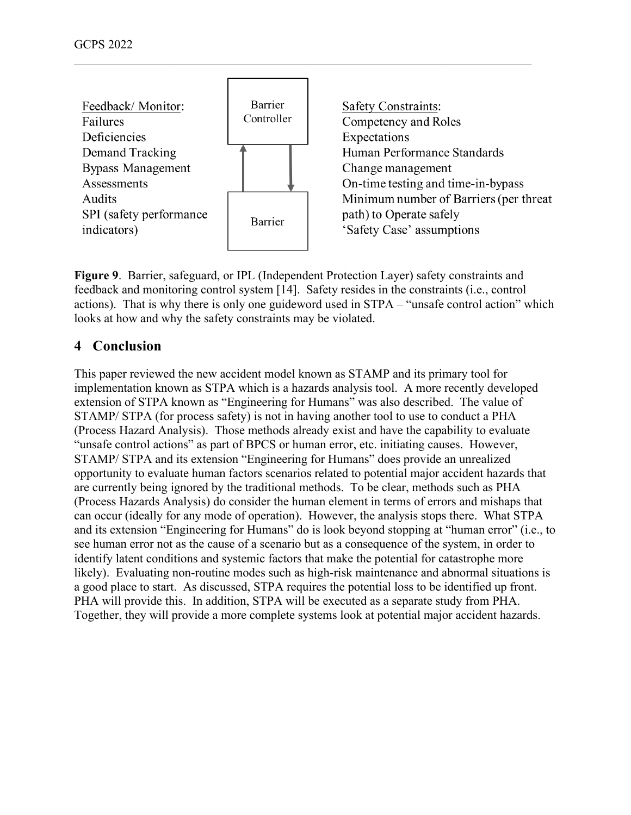

**Figure 9**. Barrier, safeguard, or IPL (Independent Protection Layer) safety constraints and feedback and monitoring control system [14]. Safety resides in the constraints (i.e., control actions). That is why there is only one guideword used in STPA – "unsafe control action" which looks at how and why the safety constraints may be violated.

## **4 Conclusion**

This paper reviewed the new accident model known as STAMP and its primary tool for implementation known as STPA which is a hazards analysis tool. A more recently developed extension of STPA known as "Engineering for Humans" was also described. The value of STAMP/ STPA (for process safety) is not in having another tool to use to conduct a PHA (Process Hazard Analysis). Those methods already exist and have the capability to evaluate "unsafe control actions" as part of BPCS or human error, etc. initiating causes. However, STAMP/ STPA and its extension "Engineering for Humans" does provide an unrealized opportunity to evaluate human factors scenarios related to potential major accident hazards that are currently being ignored by the traditional methods. To be clear, methods such as PHA (Process Hazards Analysis) do consider the human element in terms of errors and mishaps that can occur (ideally for any mode of operation). However, the analysis stops there. What STPA and its extension "Engineering for Humans" do is look beyond stopping at "human error" (i.e., to see human error not as the cause of a scenario but as a consequence of the system, in order to identify latent conditions and systemic factors that make the potential for catastrophe more likely). Evaluating non-routine modes such as high-risk maintenance and abnormal situations is a good place to start. As discussed, STPA requires the potential loss to be identified up front. PHA will provide this. In addition, STPA will be executed as a separate study from PHA. Together, they will provide a more complete systems look at potential major accident hazards.